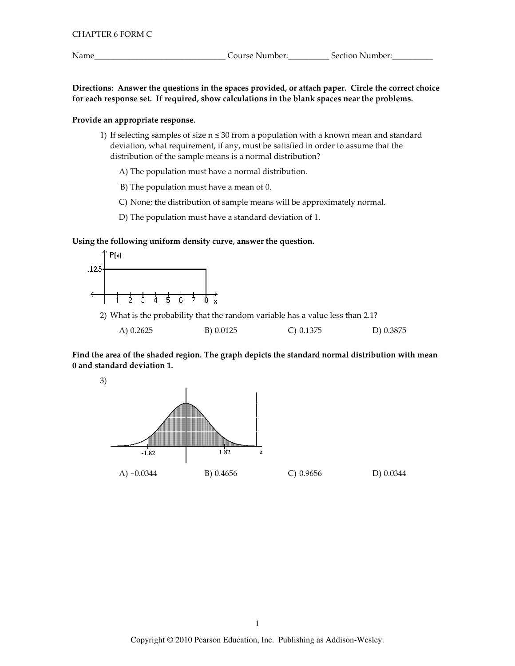Name

Directions: Answer the questions in the spaces provided, or attach paper. Circle the correct choice for each response set. If required, show calculations in the blank spaces near the problems.

# Provide an appropriate response.

1) If selecting samples of size  $n \le 30$  from a population with a known mean and standard deviation, what requirement, if any, must be satisfied in order to assume that the distribution of the sample means is a normal distribution?

A) The population must have a normal distribution.

B) The population must have a mean of 0.

C) None; the distribution of sample means will be approximately normal.

D) The population must have a standard deviation of 1.

## Using the following uniform density curve, answer the question.



2) What is the probability that the random variable has a value less than 2.1?

| A) 0.2625 | B) 0.0125 | $C$ ) 0.1375 | D) 0.3875 |
|-----------|-----------|--------------|-----------|
|           |           |              |           |

Find the area of the shaded region. The graph depicts the standard normal distribution with mean 0 and standard deviation 1.



 $C)$  0.9656

D) 0.0344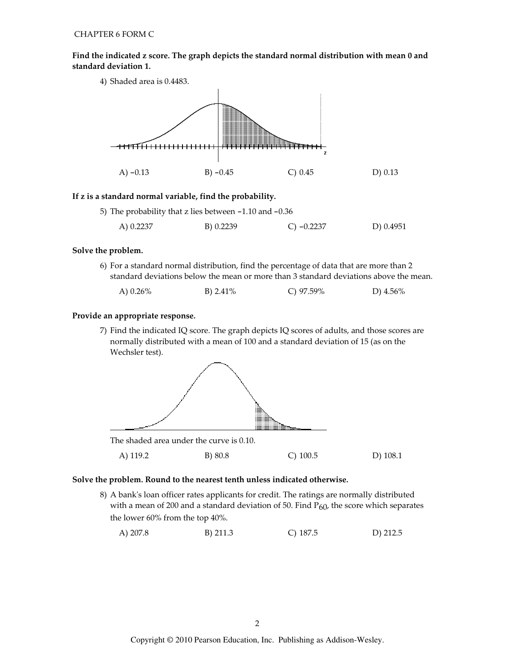Find the indicated z score. The graph depicts the standard normal distribution with mean 0 and standard deviation 1.



## If z is a standard normal variable, find the probability.

| 5) The probability that z lies between -1.10 and -0.36 |           |              |           |  |
|--------------------------------------------------------|-----------|--------------|-----------|--|
| A) 0.2237                                              | B) 0.2239 | C) $-0.2237$ | D) 0.4951 |  |

## Solve the problem.

6) For a standard normal distribution, find the percentage of data that are more than 2 standard deviations below the mean or more than 3 standard deviations above the mean.

| A) $0.26\%$ | B) $2.41\%$ | C) $97.59\%$ | D) $4.56\%$ |
|-------------|-------------|--------------|-------------|
|             |             |              |             |

## Provide an appropriate response.

7) Find the indicated IQ score. The graph depicts IQ scores of adults, and those scores are normally distributed with a mean of 100 and a standard deviation of 15 (as on the Wechsler test).



B) 80.8  $C)$  100.5 A) 119.2

D) 108.1

# Solve the problem. Round to the nearest tenth unless indicated otherwise.

8) A bank's loan officer rates applicants for credit. The ratings are normally distributed with a mean of 200 and a standard deviation of 50. Find  $P_{60}$ , the score which separates the lower 60% from the top 40%.

 $C)$  187.5 A) 207.8 B) 211.3 D) 212.5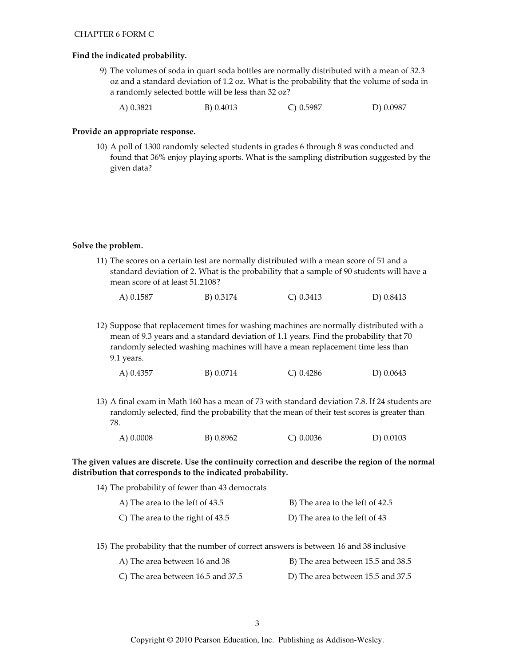#### Find the indicated probability.

- 9) The volumes of soda in quart soda bottles are normally distributed with a mean of 32.3 oz and a standard deviation of 1.2 oz. What is the probability that the volume of soda in a randomly selected bottle will be less than 32 oz?
	- B) 0.4013  $C) 0.5987$ D) 0.0987 A) 0.3821

#### Provide an appropriate response.

10) A poll of 1300 randomly selected students in grades 6 through 8 was conducted and found that 36% enjoy playing sports. What is the sampling distribution suggested by the given data?

#### Solve the problem.

11) The scores on a certain test are normally distributed with a mean score of 51 and a standard deviation of 2. What is the probability that a sample of 90 students will have a mean score of at least 51.2108?

| A) 0.1587 | B) 0.3174 | $C$ ) 0.3413 | D) 0.8413 |
|-----------|-----------|--------------|-----------|
|           |           |              |           |

12) Suppose that replacement times for washing machines are normally distributed with a mean of 9.3 years and a standard deviation of 1.1 years. Find the probability that 70 randomly selected washing machines will have a mean replacement time less than 9.1 years.

|  | A) 0.4357 | B) 0.0714 | C) 0.4286 | D) 0.0643 |
|--|-----------|-----------|-----------|-----------|
|--|-----------|-----------|-----------|-----------|

13) A final exam in Math 160 has a mean of 73 with standard deviation 7.8. If 24 students are randomly selected, find the probability that the mean of their test scores is greater than 78.

| A) 0.0008 | B) 0.8962 | $C$ ) 0.0036 | D) 0.0103 |
|-----------|-----------|--------------|-----------|
|           |           |              |           |

# The given values are discrete. Use the continuity correction and describe the region of the normal distribution that corresponds to the indicated probability.

| 14) The probability of fewer than 43 democrats |                                 |
|------------------------------------------------|---------------------------------|
| A) The area to the left of 43.5                | B) The area to the left of 42.5 |
| C) The area to the right of 43.5               | D) The area to the left of 43   |

15) The probability that the number of correct answers is between 16 and 38 inclusive

| A) The area between 16 and 38     | B) The area between 15.5 and 38.5 |
|-----------------------------------|-----------------------------------|
| C) The area between 16.5 and 37.5 | D) The area between 15.5 and 37.5 |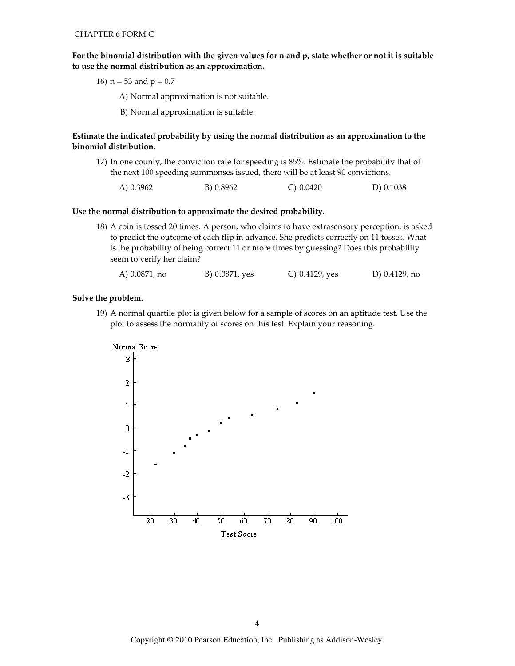For the binomial distribution with the given values for n and p, state whether or not it is suitable to use the normal distribution as an approximation.

16)  $n = 53$  and  $p = 0.7$ 

A) Normal approximation is not suitable.

B) Normal approximation is suitable.

Estimate the indicated probability by using the normal distribution as an approximation to the binomial distribution.

17) In one county, the conviction rate for speeding is 85%. Estimate the probability that of the next 100 speeding summonses issued, there will be at least 90 convictions.

D) 0.1038 A) 0.3962 B) 0.8962  $C) 0.0420$ 

#### Use the normal distribution to approximate the desired probability.

18) A coin is tossed 20 times. A person, who claims to have extrasensory perception, is asked to predict the outcome of each flip in advance. She predicts correctly on 11 tosses. What is the probability of being correct 11 or more times by guessing? Does this probability seem to verify her claim?

A) 0.0871, no B) 0.0871, yes C) 0.4129, yes D) 0.4129, no

#### Solve the problem.

19) A normal quartile plot is given below for a sample of scores on an aptitude test. Use the plot to assess the normality of scores on this test. Explain your reasoning.

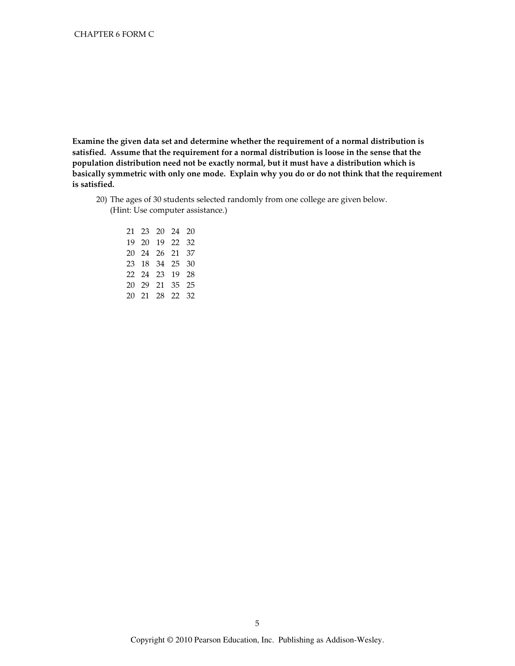Examine the given data set and determine whether the requirement of a normal distribution is satisfied. Assume that the requirement for a normal distribution is loose in the sense that the population distribution need not be exactly normal, but it must have a distribution which is basically symmetric with only one mode. Explain why you do or do not think that the requirement is satisfied.

20) The ages of 30 students selected randomly from one college are given below. (Hint: Use computer assistance.)

|  | 21  23  20  24  20 |    |
|--|--------------------|----|
|  | 19 20 19 22 32     |    |
|  | 20 24 26 21 37     |    |
|  | 23 18 34 25        | 30 |
|  | 22 24 23 19 28     |    |
|  | 20 29 21 35 25     |    |
|  | 20 21 28 22 32     |    |